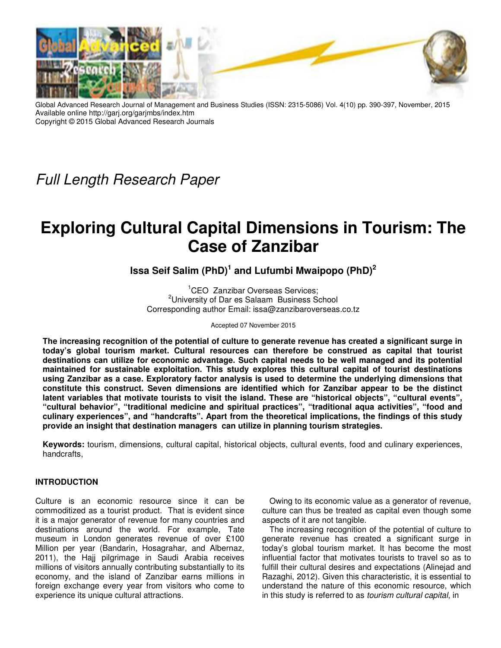

Global Advanced Research Journal of Management and Business Studies (ISSN: 2315-5086) Vol. 4(10) pp. 390-397, November, 2015 Available online http://garj.org/garjmbs/index.htm Copyright © 2015 Global Advanced Research Journals

*Full Length Research Paper*

# **Exploring Cultural Capital Dimensions in Tourism: The Case of Zanzibar**

**Issa Seif Salim (PhD)<sup>1</sup> and Lufumbi Mwaipopo (PhD)<sup>2</sup>**

<sup>1</sup>CEO Zanzibar Overseas Services; <sup>2</sup>University of Dar es Salaam Business School Corresponding author Email: issa@zanzibaroverseas.co.tz

Accepted 07 November 2015

**The increasing recognition of the potential of culture to generate revenue has created a significant surge in today's global tourism market. Cultural resources can therefore be construed as capital that tourist destinations can utilize for economic advantage. Such capital needs to be well managed and its potential maintained for sustainable exploitation. This study explores this cultural capital of tourist destinations using Zanzibar as a case. Exploratory factor analysis is used to determine the underlying dimensions that constitute this construct. Seven dimensions are identified which for Zanzibar appear to be the distinct latent variables that motivate tourists to visit the island. These are "historical objects", "cultural events", "cultural behavior", "traditional medicine and spiritual practices", "traditional aqua activities", "food and culinary experiences", and "handcrafts". Apart from the theoretical implications, the findings of this study provide an insight that destination managers can utilize in planning tourism strategies.** 

**Keywords:** tourism, dimensions, cultural capital, historical objects, cultural events, food and culinary experiences, handcrafts,

# **INTRODUCTION**

Culture is an economic resource since it can be commoditized as a tourist product. That is evident since it is a major generator of revenue for many countries and destinations around the world. For example, Tate museum in London generates revenue of over £100 Million per year (Bandarin, Hosagrahar, and Albernaz, 2011), the Hajj pilgrimage in Saudi Arabia receives millions of visitors annually contributing substantially to its economy, and the island of Zanzibar earns millions in foreign exchange every year from visitors who come to experience its unique cultural attractions.

Owing to its economic value as a generator of revenue, culture can thus be treated as capital even though some aspects of it are not tangible.

The increasing recognition of the potential of culture to generate revenue has created a significant surge in today's global tourism market. It has become the most influential factor that motivates tourists to travel so as to fulfill their cultural desires and expectations (Alinejad and Razaghi, 2012). Given this characteristic, it is essential to understand the nature of this economic resource, which in this study is referred to as *tourism cultural capital*, in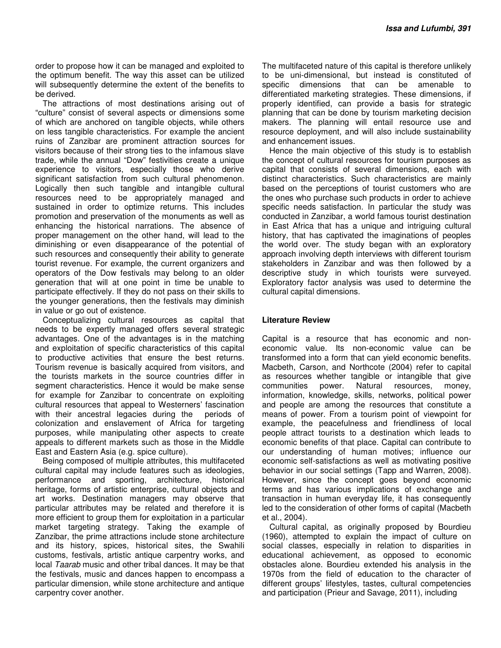order to propose how it can be managed and exploited to the optimum benefit. The way this asset can be utilized will subsequently determine the extent of the benefits to be derived.

The attractions of most destinations arising out of "culture" consist of several aspects or dimensions some of which are anchored on tangible objects, while others on less tangible characteristics. For example the ancient ruins of Zanzibar are prominent attraction sources for visitors because of their strong ties to the infamous slave trade, while the annual "Dow" festivities create a unique experience to visitors, especially those who derive significant satisfaction from such cultural phenomenon. Logically then such tangible and intangible cultural resources need to be appropriately managed and sustained in order to optimize returns. This includes promotion and preservation of the monuments as well as enhancing the historical narrations. The absence of proper management on the other hand, will lead to the diminishing or even disappearance of the potential of such resources and consequently their ability to generate tourist revenue. For example, the current organizers and operators of the Dow festivals may belong to an older generation that will at one point in time be unable to participate effectively. If they do not pass on their skills to the younger generations, then the festivals may diminish in value or go out of existence.

Conceptualizing cultural resources as capital that needs to be expertly managed offers several strategic advantages. One of the advantages is in the matching and exploitation of specific characteristics of this capital to productive activities that ensure the best returns. Tourism revenue is basically acquired from visitors, and the tourists markets in the source countries differ in segment characteristics. Hence it would be make sense for example for Zanzibar to concentrate on exploiting cultural resources that appeal to Westerners' fascination with their ancestral legacies during the periods of colonization and enslavement of Africa for targeting purposes, while manipulating other aspects to create appeals to different markets such as those in the Middle East and Eastern Asia (e.g. spice culture).

Being composed of multiple attributes, this multifaceted cultural capital may include features such as ideologies, performance and sporting, architecture, historical heritage, forms of artistic enterprise, cultural objects and art works. Destination managers may observe that particular attributes may be related and therefore it is more efficient to group them for exploitation in a particular market targeting strategy. Taking the example of Zanzibar, the prime attractions include stone architecture and its history, spices, historical sites, the Swahili customs, festivals, artistic antique carpentry works, and local *Taarab* music and other tribal dances. It may be that the festivals, music and dances happen to encompass a particular dimension, while stone architecture and antique carpentry cover another.

The multifaceted nature of this capital is therefore unlikely to be uni-dimensional, but instead is constituted of specific dimensions that can be amenable to differentiated marketing strategies. These dimensions, if properly identified, can provide a basis for strategic planning that can be done by tourism marketing decision makers. The planning will entail resource use and resource deployment, and will also include sustainability and enhancement issues.

Hence the main objective of this study is to establish the concept of cultural resources for tourism purposes as capital that consists of several dimensions, each with distinct characteristics. Such characteristics are mainly based on the perceptions of tourist customers who are the ones who purchase such products in order to achieve specific needs satisfaction. In particular the study was conducted in Zanzibar, a world famous tourist destination in East Africa that has a unique and intriguing cultural history, that has captivated the imaginations of peoples the world over. The study began with an exploratory approach involving depth interviews with different tourism stakeholders in Zanzibar and was then followed by a descriptive study in which tourists were surveyed. Exploratory factor analysis was used to determine the cultural capital dimensions.

#### **Literature Review**

Capital is a resource that has economic and noneconomic value. Its non-economic value can be transformed into a form that can yield economic benefits. Macbeth, Carson, and Northcote (2004) refer to capital as resources whether tangible or intangible that give communities power. Natural resources, money, information, knowledge, skills, networks, political power and people are among the resources that constitute a means of power. From a tourism point of viewpoint for example, the peacefulness and friendliness of local people attract tourists to a destination which leads to economic benefits of that place. Capital can contribute to our understanding of human motives; influence our economic self-satisfactions as well as motivating positive behavior in our social settings (Tapp and Warren, 2008). However, since the concept goes beyond economic terms and has various implications of exchange and transaction in human everyday life, it has consequently led to the consideration of other forms of capital (Macbeth et al., 2004).

Cultural capital, as originally proposed by Bourdieu (1960), attempted to explain the impact of culture on social classes, especially in relation to disparities in educational achievement, as opposed to economic obstacles alone. Bourdieu extended his analysis in the 1970s from the field of education to the character of different groups' lifestyles, tastes, cultural competencies and participation (Prieur and Savage, 2011), including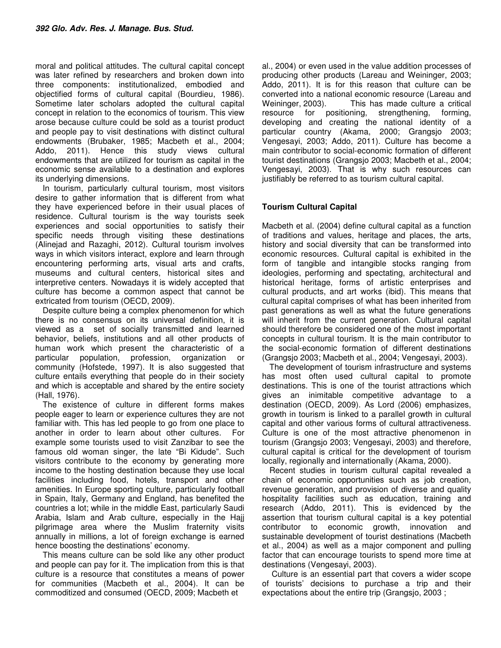moral and political attitudes. The cultural capital concept was later refined by researchers and broken down into three components: institutionalized, embodied and objectified forms of cultural capital (Bourdieu, 1986). Sometime later scholars adopted the cultural capital concept in relation to the economics of tourism. This view arose because culture could be sold as a tourist product and people pay to visit destinations with distinct cultural endowments (Brubaker, 1985; Macbeth et al., 2004; Addo, 2011). Hence this study views cultural endowments that are utilized for tourism as capital in the economic sense available to a destination and explores its underlying dimensions.

In tourism, particularly cultural tourism, most visitors desire to gather information that is different from what they have experienced before in their usual places of residence. Cultural tourism is the way tourists seek experiences and social opportunities to satisfy their specific needs through visiting these destinations (Alinejad and Razaghi, 2012). Cultural tourism involves ways in which visitors interact, explore and learn through encountering performing arts, visual arts and crafts, museums and cultural centers, historical sites and interpretive centers. Nowadays it is widely accepted that culture has become a common aspect that cannot be extricated from tourism (OECD, 2009).

Despite culture being a complex phenomenon for which there is no consensus on its universal definition, it is viewed as a set of socially transmitted and learned behavior, beliefs, institutions and all other products of human work which present the characteristic of a particular population, profession, organization or community (Hofstede, 1997). It is also suggested that culture entails everything that people do in their society and which is acceptable and shared by the entire society (Hall, 1976).

The existence of culture in different forms makes people eager to learn or experience cultures they are not familiar with. This has led people to go from one place to another in order to learn about other cultures. For example some tourists used to visit Zanzibar to see the famous old woman singer, the late "Bi Kidude". Such visitors contribute to the economy by generating more income to the hosting destination because they use local facilities including food, hotels, transport and other amenities. In Europe sporting culture, particularly football in Spain, Italy, Germany and England, has benefited the countries a lot; while in the middle East, particularly Saudi Arabia, Islam and Arab culture, especially in the Hajj pilgrimage area where the Muslim fraternity visits annually in millions, a lot of foreign exchange is earned hence boosting the destinations' economy.

This means culture can be sold like any other product and people can pay for it. The implication from this is that culture is a resource that constitutes a means of power for communities (Macbeth et al., 2004). It can be commoditized and consumed (OECD, 2009; Macbeth et

al., 2004) or even used in the value addition processes of producing other products (Lareau and Weininger, 2003; Addo, 2011). It is for this reason that culture can be converted into a national economic resource (Lareau and Weininger, 2003). This has made culture a critical resource for positioning, strengthening, forming, developing and creating the national identity of a particular country (Akama, 2000; Grangsjo 2003; Vengesayi, 2003; Addo, 2011). Culture has become a main contributor to social-economic formation of different tourist destinations (Grangsjo 2003; Macbeth et al., 2004; Vengesayi, 2003). That is why such resources can justifiably be referred to as tourism cultural capital.

# **Tourism Cultural Capital**

Macbeth et al. (2004) define cultural capital as a function of traditions and values, heritage and places, the arts, history and social diversity that can be transformed into economic resources. Cultural capital is exhibited in the form of tangible and intangible stocks ranging from ideologies, performing and spectating, architectural and historical heritage, forms of artistic enterprises and cultural products, and art works (ibid). This means that cultural capital comprises of what has been inherited from past generations as well as what the future generations will inherit from the current generation. Cultural capital should therefore be considered one of the most important concepts in cultural tourism. It is the main contributor to the social-economic formation of different destinations (Grangsjo 2003; Macbeth et al., 2004; Vengesayi, 2003).

The development of tourism infrastructure and systems has most often used cultural capital to promote destinations. This is one of the tourist attractions which gives an inimitable competitive advantage to a destination (OECD, 2009). As Lord (2006) emphasizes, growth in tourism is linked to a parallel growth in cultural capital and other various forms of cultural attractiveness. Culture is one of the most attractive phenomenon in tourism (Grangsjo 2003; Vengesayi, 2003) and therefore, cultural capital is critical for the development of tourism locally, regionally and internationally (Akama, 2000).

Recent studies in tourism cultural capital revealed a chain of economic opportunities such as job creation, revenue generation, and provision of diverse and quality hospitality facilities such as education, training and research (Addo, 2011). This is evidenced by the assertion that tourism cultural capital is a key potential contributor to economic growth, innovation and sustainable development of tourist destinations (Macbeth et al., 2004) as well as a major component and pulling factor that can encourage tourists to spend more time at destinations (Vengesayi, 2003).

 Culture is an essential part that covers a wider scope of tourists' decisions to purchase a trip and their expectations about the entire trip (Grangsjo, 2003 ;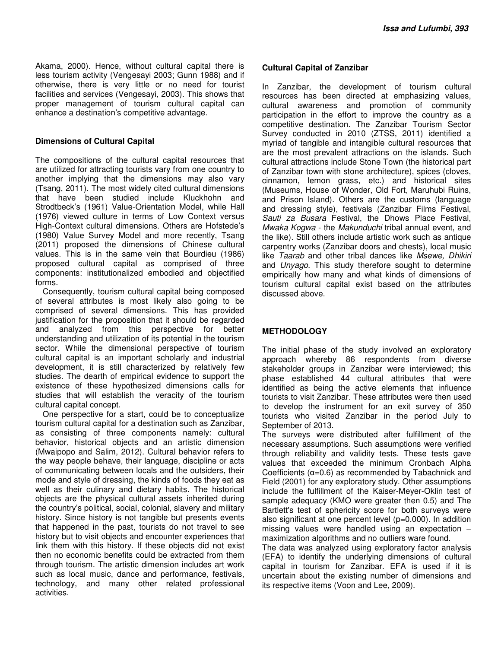Akama, 2000). Hence, without cultural capital there is less tourism activity (Vengesayi 2003; Gunn 1988) and if otherwise, there is very little or no need for tourist facilities and services (Vengesayi, 2003). This shows that proper management of tourism cultural capital can enhance a destination's competitive advantage.

#### **Dimensions of Cultural Capital**

The compositions of the cultural capital resources that are utilized for attracting tourists vary from one country to another implying that the dimensions may also vary (Tsang, 2011). The most widely cited cultural dimensions that have been studied include Kluckhohn and Strodtbeck's (1961) Value-Orientation Model, while Hall (1976) viewed culture in terms of Low Context versus High-Context cultural dimensions. Others are Hofstede's (1980) Value Survey Model and more recently, Tsang (2011) proposed the dimensions of Chinese cultural values. This is in the same vein that Bourdieu (1986) proposed cultural capital as comprised of three components: institutionalized embodied and objectified forms.

Consequently, tourism cultural capital being composed of several attributes is most likely also going to be comprised of several dimensions. This has provided justification for the proposition that it should be regarded and analyzed from this perspective for better understanding and utilization of its potential in the tourism sector. While the dimensional perspective of tourism cultural capital is an important scholarly and industrial development, it is still characterized by relatively few studies. The dearth of empirical evidence to support the existence of these hypothesized dimensions calls for studies that will establish the veracity of the tourism cultural capital concept.

One perspective for a start, could be to conceptualize tourism cultural capital for a destination such as Zanzibar, as consisting of three components namely: cultural behavior, historical objects and an artistic dimension (Mwaipopo and Salim, 2012). Cultural behavior refers to the way people behave, their language, discipline or acts of communicating between locals and the outsiders, their mode and style of dressing, the kinds of foods they eat as well as their culinary and dietary habits. The historical objects are the physical cultural assets inherited during the country's political, social, colonial, slavery and military history. Since history is not tangible but presents events that happened in the past, tourists do not travel to see history but to visit objects and encounter experiences that link them with this history. If these objects did not exist then no economic benefits could be extracted from them through tourism. The artistic dimension includes art work such as local music, dance and performance, festivals, technology, and many other related professional activities.

## **Cultural Capital of Zanzibar**

In Zanzibar, the development of tourism cultural resources has been directed at emphasizing values, cultural awareness and promotion of community participation in the effort to improve the country as a competitive destination. The Zanzibar Tourism Sector Survey conducted in 2010 (ZTSS, 2011) identified a myriad of tangible and intangible cultural resources that are the most prevalent attractions on the islands. Such cultural attractions include Stone Town (the historical part of Zanzibar town with stone architecture), spices (cloves, cinnamon, lemon grass, etc.) and historical sites (Museums, House of Wonder, Old Fort, Maruhubi Ruins, and Prison Island). Others are the customs (language and dressing style), festivals (Zanzibar Films Festival, *Sauti za Busara* Festival, the Dhows Place Festival, *Mwaka Kogwa* - the *Makunduchi* tribal annual event, and the like). Still others include artistic work such as antique carpentry works (Zanzibar doors and chests), local music like *Taarab* and other tribal dances like *Msewe, Dhikiri*  and *Unyago*. This study therefore sought to determine empirically how many and what kinds of dimensions of tourism cultural capital exist based on the attributes discussed above.

# **METHODOLOGY**

The initial phase of the study involved an exploratory approach whereby 86 respondents from diverse stakeholder groups in Zanzibar were interviewed; this phase established 44 cultural attributes that were identified as being the active elements that influence tourists to visit Zanzibar. These attributes were then used to develop the instrument for an exit survey of 350 tourists who visited Zanzibar in the period July to September of 2013.

The surveys were distributed after fulfillment of the necessary assumptions. Such assumptions were verified through reliability and validity tests. These tests gave values that exceeded the minimum Cronbach Alpha Coefficients (α=0.6) as recommended by Tabachnick and Field (2001) for any exploratory study. Other assumptions include the fulfillment of the Kaiser-Meyer-Oklin test of sample adequacy (KMO were greater then 0.5) and The Bartlett's test of sphericity score for both surveys were also significant at one percent level (p=0.000). In addition missing values were handled using an expectation – maximization algorithms and no outliers ware found.

The data was analyzed using exploratory factor analysis (EFA) to identify the underlying dimensions of cultural capital in tourism for Zanzibar. EFA is used if it is uncertain about the existing number of dimensions and its respective items (Voon and Lee, 2009).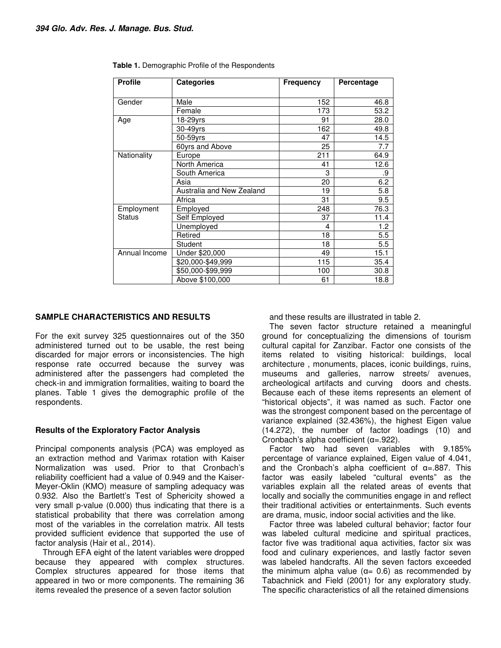| <b>Profile</b> | <b>Categories</b>         | <b>Frequency</b> | Percentage |  |  |
|----------------|---------------------------|------------------|------------|--|--|
| Gender         | Male                      | 152              | 46.8       |  |  |
|                | Female                    | 173              | 53.2       |  |  |
| Age            | 18-29yrs                  | 91               | 28.0       |  |  |
|                | 30-49yrs                  | 162              | 49.8       |  |  |
|                | 50-59yrs                  | 47               | 14.5       |  |  |
|                | 60yrs and Above           | 25               | 7.7        |  |  |
| Nationality    | Europe                    | 211              | 64.9       |  |  |
|                | North America             | 41               | 12.6       |  |  |
|                | South America             | 3                | .9         |  |  |
|                | Asia                      | 20               | 6.2        |  |  |
|                | Australia and New Zealand | 19               | 5.8        |  |  |
|                | Africa                    | 31               | 9.5        |  |  |
| Employment     | Employed                  | 248              | 76.3       |  |  |
| <b>Status</b>  | Self Employed             | 37               | 11.4       |  |  |
|                | Unemployed                | 4                | 1.2        |  |  |
|                | Retired                   | 18               | 5.5        |  |  |
|                | Student                   | 18               | 5.5        |  |  |
| Annual Income  | Under \$20,000            | 49               | 15.1       |  |  |
|                | \$20,000-\$49,999         | 115              | 35.4       |  |  |
|                | \$50,000-\$99,999         | 100              | 30.8       |  |  |
|                | Above \$100,000           | 61               | 18.8       |  |  |

| Table 1. Demographic Profile of the Respondents |  |  |
|-------------------------------------------------|--|--|
|-------------------------------------------------|--|--|

### **SAMPLE CHARACTERISTICS AND RESULTS**

For the exit survey 325 questionnaires out of the 350 administered turned out to be usable, the rest being discarded for major errors or inconsistencies. The high response rate occurred because the survey was administered after the passengers had completed the check-in and immigration formalities, waiting to board the planes. Table 1 gives the demographic profile of the respondents.

#### **Results of the Exploratory Factor Analysis**

Principal components analysis (PCA) was employed as an extraction method and Varimax rotation with Kaiser Normalization was used. Prior to that Cronbach's reliability coefficient had a value of 0.949 and the Kaiser-Meyer-Oklin (KMO) measure of sampling adequacy was 0.932. Also the Bartlett's Test of Sphericity showed a very small p-value (0.000) thus indicating that there is a statistical probability that there was correlation among most of the variables in the correlation matrix. All tests provided sufficient evidence that supported the use of factor analysis (Hair et al., 2014).

Through EFA eight of the latent variables were dropped because they appeared with complex structures. Complex structures appeared for those items that appeared in two or more components. The remaining 36 items revealed the presence of a seven factor solution

and these results are illustrated in table 2.

The seven factor structure retained a meaningful ground for conceptualizing the dimensions of tourism cultural capital for Zanzibar. Factor one consists of the items related to visiting historical: buildings, local architecture , monuments, places, iconic buildings, ruins, museums and galleries, narrow streets/ avenues, archeological artifacts and curving doors and chests. Because each of these items represents an element of "historical objects", it was named as such. Factor one was the strongest component based on the percentage of variance explained (32.436%), the highest Eigen value (14.272), the number of factor loadings (10) and Cronbach's alpha coefficient (α=.922).

Factor two had seven variables with 9.185% percentage of variance explained, Eigen value of 4.041, and the Cronbach's alpha coefficient of  $\alpha$ =.887. This factor was easily labeled "cultural events" as the variables explain all the related areas of events that locally and socially the communities engage in and reflect their traditional activities or entertainments. Such events are drama, music, indoor social activities and the like.

Factor three was labeled cultural behavior; factor four was labeled cultural medicine and spiritual practices, factor five was traditional aqua activities, factor six was food and culinary experiences, and lastly factor seven was labeled handcrafts. All the seven factors exceeded the minimum alpha value ( $α= 0.6$ ) as recommended by Tabachnick and Field (2001) for any exploratory study. The specific characteristics of all the retained dimensions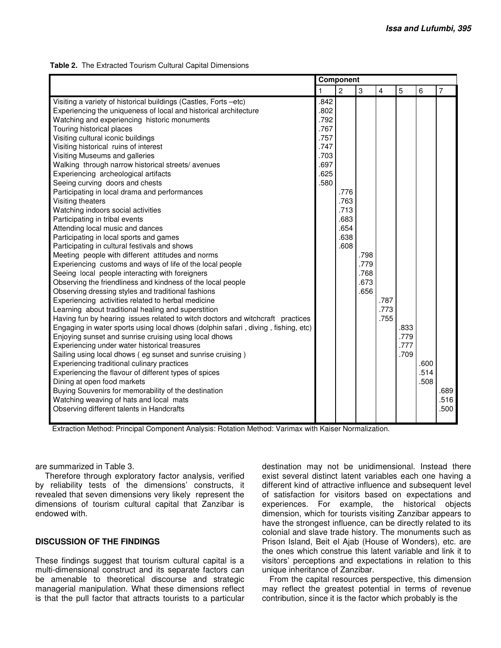|  | Table 2. The Extracted Tourism Cultural Capital Dimensions |  |  |  |  |
|--|------------------------------------------------------------|--|--|--|--|
|--|------------------------------------------------------------|--|--|--|--|

|                                                                                   | Component    |                |      |                |      |      |                |
|-----------------------------------------------------------------------------------|--------------|----------------|------|----------------|------|------|----------------|
|                                                                                   | $\mathbf{1}$ | $\overline{2}$ | 3    | $\overline{4}$ | 5    | 6    | $\overline{7}$ |
| Visiting a variety of historical buildings (Castles, Forts -etc)                  | .842         |                |      |                |      |      |                |
| Experiencing the uniqueness of local and historical architecture                  | .802         |                |      |                |      |      |                |
| Watching and experiencing historic monuments                                      | .792         |                |      |                |      |      |                |
| Touring historical places                                                         | .767         |                |      |                |      |      |                |
| Visiting cultural iconic buildings                                                | .757         |                |      |                |      |      |                |
| Visiting historical ruins of interest                                             | .747         |                |      |                |      |      |                |
| Visiting Museums and galleries                                                    | .703         |                |      |                |      |      |                |
| Walking through narrow historical streets/avenues                                 | .697         |                |      |                |      |      |                |
| Experiencing archeological artifacts                                              | .625         |                |      |                |      |      |                |
| Seeing curving doors and chests                                                   | .580         |                |      |                |      |      |                |
| Participating in local drama and performances                                     |              | .776           |      |                |      |      |                |
| Visiting theaters                                                                 |              | .763           |      |                |      |      |                |
| Watching indoors social activities                                                |              | .713           |      |                |      |      |                |
| Participating in tribal events                                                    |              | .683           |      |                |      |      |                |
| Attending local music and dances                                                  |              | .654           |      |                |      |      |                |
| Participating in local sports and games                                           |              | .638           |      |                |      |      |                |
| Participating in cultural festivals and shows                                     |              | .608           |      |                |      |      |                |
| Meeting people with different attitudes and norms                                 |              |                | .798 |                |      |      |                |
| Experiencing customs and ways of life of the local people                         |              |                | .779 |                |      |      |                |
| Seeing local people interacting with foreigners                                   |              |                | .768 |                |      |      |                |
| Observing the friendliness and kindness of the local people                       |              |                | .673 |                |      |      |                |
| Observing dressing styles and traditional fashions                                |              |                | .656 |                |      |      |                |
| Experiencing activities related to herbal medicine                                |              |                |      | .787           |      |      |                |
| Learning about traditional healing and superstition                               |              |                |      | .773           |      |      |                |
| Having fun by hearing issues related to witch doctors and witchcraft practices    |              |                |      | .755           |      |      |                |
| Engaging in water sports using local dhows (dolphin safari, diving, fishing, etc) |              |                |      |                | .833 |      |                |
| Enjoying sunset and sunrise cruising using local dhows                            |              |                |      |                | .779 |      |                |
| Experiencing under water historical treasures                                     |              |                |      |                | .777 |      |                |
| Sailing using local dhows (eg sunset and sunrise cruising)                        |              |                |      |                | .709 |      |                |
| Experiencing traditional culinary practices                                       |              |                |      |                |      | .600 |                |
| Experiencing the flavour of different types of spices                             |              |                |      |                |      | .514 |                |
| Dining at open food markets                                                       |              |                |      |                |      | .508 |                |
| Buying Souvenirs for memorability of the destination                              |              |                |      |                |      |      | .689           |
| Watching weaving of hats and local mats                                           |              |                |      |                |      |      | .516           |
| Observing different talents in Handcrafts                                         |              |                |      |                |      |      | .500           |
|                                                                                   |              |                |      |                |      |      |                |

Extraction Method: Principal Component Analysis: Rotation Method: Varimax with Kaiser Normalization.

are summarized in Table 3.

 Therefore through exploratory factor analysis, verified by reliability tests of the dimensions' constructs, it revealed that seven dimensions very likely represent the dimensions of tourism cultural capital that Zanzibar is endowed with.

# **DISCUSSION OF THE FINDINGS**

These findings suggest that tourism cultural capital is a multi-dimensional construct and its separate factors can be amenable to theoretical discourse and strategic managerial manipulation. What these dimensions reflect is that the pull factor that attracts tourists to a particular

destination may not be unidimensional. Instead there exist several distinct latent variables each one having a different kind of attractive influence and subsequent level of satisfaction for visitors based on expectations and experiences. For example, the historical objects dimension, which for tourists visiting Zanzibar appears to have the strongest influence, can be directly related to its colonial and slave trade history. The monuments such as Prison Island, Beit el Ajab (House of Wonders), etc. are the ones which construe this latent variable and link it to visitors' perceptions and expectations in relation to this unique inheritance of Zanzibar.

From the capital resources perspective, this dimension may reflect the greatest potential in terms of revenue contribution, since it is the factor which probably is the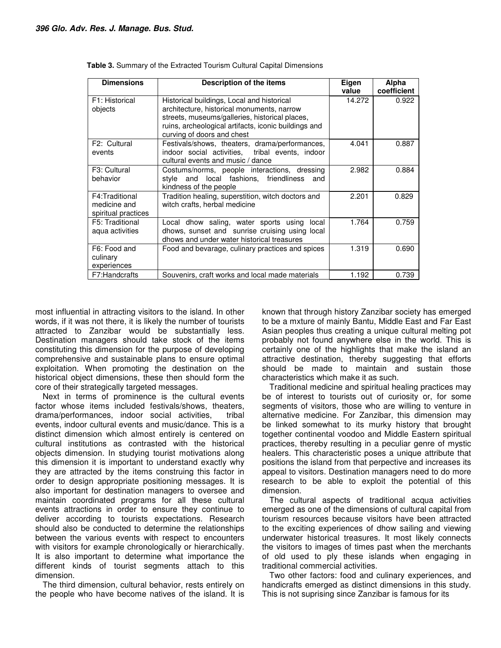| <b>Dimensions</b>                                     | Description of the items                                                                                                                                                                                                         | Eigen<br>value | Alpha<br>coefficient |  |
|-------------------------------------------------------|----------------------------------------------------------------------------------------------------------------------------------------------------------------------------------------------------------------------------------|----------------|----------------------|--|
| F1: Historical<br>objects                             | Historical buildings, Local and historical<br>architecture, historical monuments, narrow<br>streets, museums/galleries, historical places,<br>ruins, archeological artifacts, iconic buildings and<br>curving of doors and chest | 14.272         | 0.922                |  |
| F2: Cultural<br>events                                | Festivals/shows, theaters, drama/performances,<br>indoor social activities, tribal events, indoor<br>cultural events and music / dance                                                                                           | 4.041          | 0.887                |  |
| F <sub>3</sub> : Cultural<br>behavior                 | Costums/norms, people interactions, dressing<br>style and local fashions, friendliness<br>and<br>kindness of the people                                                                                                          | 2.982          | 0.884                |  |
| F4:Traditional<br>medicine and<br>spiritual practices | Tradition healing, superstition, witch doctors and<br>witch crafts, herbal medicine                                                                                                                                              | 2.201          | 0.829                |  |
| F5: Traditional<br>aqua activities                    | Local dhow saling, water sports using<br>local<br>dhows, sunset and sunrise cruising using local<br>dhows and under water historical treasures                                                                                   | 1.764          | 0.759                |  |
| F6: Food and<br>culinary<br>experiences               | Food and bevarage, culinary practices and spices                                                                                                                                                                                 | 1.319          | 0.690                |  |
| F7:Handcrafts                                         | Souvenirs, craft works and local made materials                                                                                                                                                                                  | 1.192          | 0.739                |  |

**Table 3.** Summary of the Extracted Tourism Cultural Capital Dimensions

most influential in attracting visitors to the island. In other words, if it was not there, it is likely the number of tourists attracted to Zanzibar would be substantially less. Destination managers should take stock of the items constituting this dimension for the purpose of developing comprehensive and sustainable plans to ensure optimal exploitation. When promoting the destination on the historical object dimensions, these then should form the core of their strategically targeted messages.

Next in terms of prominence is the cultural events factor whose items included festivals/shows, theaters, drama/performances, indoor social activities, tribal events, indoor cultural events and music/dance. This is a distinct dimension which almost entirely is centered on cultural institutions as contrasted with the historical objects dimension. In studying tourist motivations along this dimension it is important to understand exactly why they are attracted by the items construing this factor in order to design appropriate positioning messages. It is also important for destination managers to oversee and maintain coordinated programs for all these cultural events attractions in order to ensure they continue to deliver according to tourists expectations. Research should also be conducted to determine the relationships between the various events with respect to encounters with visitors for example chronologically or hierarchically. It is also important to determine what importance the different kinds of tourist segments attach to this dimension.

The third dimension, cultural behavior, rests entirely on the people who have become natives of the island. It is

known that through history Zanzibar society has emerged to be a mxture of mainly Bantu, Middle East and Far East Asian peoples thus creating a unique cultural melting pot probably not found anywhere else in the world. This is certainly one of the highlights that make the island an attractive destination, thereby suggesting that efforts should be made to maintain and sustain those characteristics which make it as such.

Traditional medicine and spiritual healing practices may be of interest to tourists out of curiosity or, for some segments of visitors, those who are willing to venture in alternative medicine. For Zanzibar, this dimension may be linked somewhat to its murky history that brought together continental voodoo and Middle Eastern spiritual practices, thereby resulting in a peculiar genre of mystic healers. This characteristic poses a unique attribute that positions the island from that perpective and increases its appeal to visitors. Destination managers need to do more research to be able to exploit the potential of this dimension.

The cultural aspects of traditional acqua activities emerged as one of the dimensions of cultural capital from tourism resources because visitors have been attracted to the exciting experiences of dhow sailing and viewing underwater historical treasures. It most likely connects the visitors to images of times past when the merchants of old used to ply these islands when engaging in traditional commercial activities.

Two other factors: food and culinary experiences, and handicrafts emerged as distinct dimensions in this study. This is not suprising since Zanzibar is famous for its